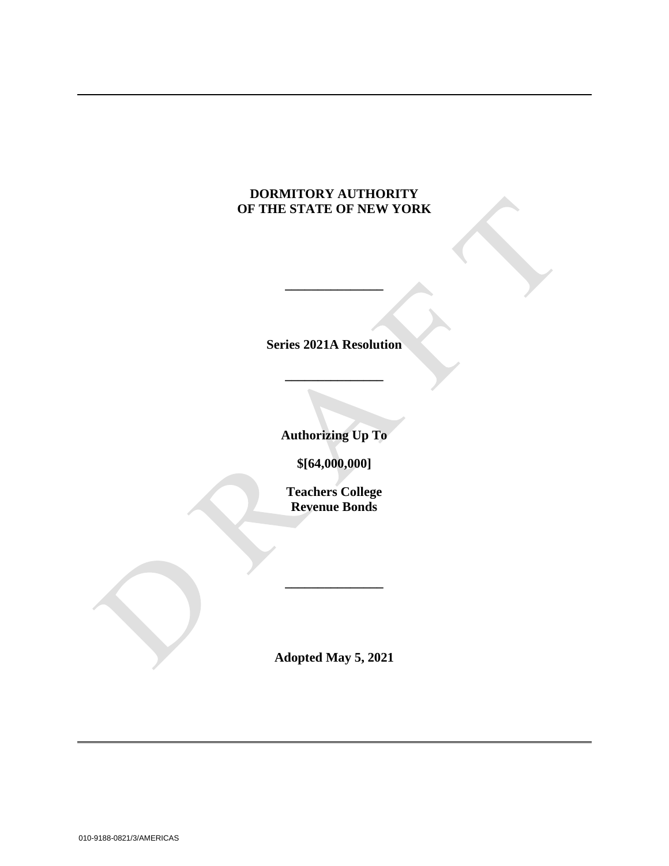# **DORMITORY AUTHORITY OF THE STATE OF NEW YORK**

**Series 2021A Resolution**

**\_\_\_\_\_\_\_\_\_\_\_\_\_\_\_**

**\_\_\_\_\_\_\_\_\_\_\_\_\_\_\_**

**Authorizing Up To**

**\$[64,000,000]**

**Teachers College Revenue Bonds**

**Adopted May 5, 2021**

**\_\_\_\_\_\_\_\_\_\_\_\_\_\_\_**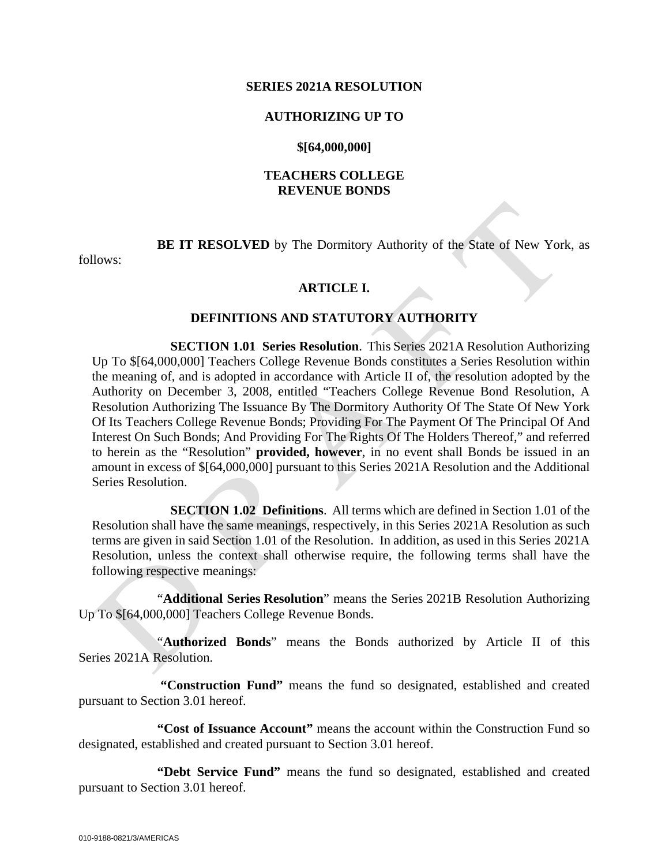#### **SERIES 2021A RESOLUTION**

#### **AUTHORIZING UP TO**

#### **\$[64,000,000]**

### **TEACHERS COLLEGE REVENUE BONDS**

**BE IT RESOLVED** by The Dormitory Authority of the State of New York, as

follows:

#### **ARTICLE I.**

#### **DEFINITIONS AND STATUTORY AUTHORITY**

**SECTION 1.01 Series Resolution**. This Series 2021A Resolution Authorizing Up To \$[64,000,000] Teachers College Revenue Bonds constitutes a Series Resolution within the meaning of, and is adopted in accordance with Article II of, the resolution adopted by the Authority on December 3, 2008, entitled "Teachers College Revenue Bond Resolution, A Resolution Authorizing The Issuance By The Dormitory Authority Of The State Of New York Of Its Teachers College Revenue Bonds; Providing For The Payment Of The Principal Of And Interest On Such Bonds; And Providing For The Rights Of The Holders Thereof," and referred to herein as the "Resolution" **provided, however**, in no event shall Bonds be issued in an amount in excess of \$[64,000,000] pursuant to this Series 2021A Resolution and the Additional Series Resolution.

**SECTION 1.02 Definitions**. All terms which are defined in Section 1.01 of the Resolution shall have the same meanings, respectively, in this Series 2021A Resolution as such terms are given in said Section 1.01 of the Resolution. In addition, as used in this Series 2021A Resolution, unless the context shall otherwise require, the following terms shall have the following respective meanings:

"**Additional Series Resolution**" means the Series 2021B Resolution Authorizing Up To \$[64,000,000] Teachers College Revenue Bonds.

"**Authorized Bonds**" means the Bonds authorized by Article II of this Series 2021A Resolution.

**"Construction Fund"** means the fund so designated, established and created pursuant to Section 3.01 hereof.

**"Cost of Issuance Account"** means the account within the Construction Fund so designated, established and created pursuant to Section 3.01 hereof.

**"Debt Service Fund"** means the fund so designated, established and created pursuant to Section 3.01 hereof.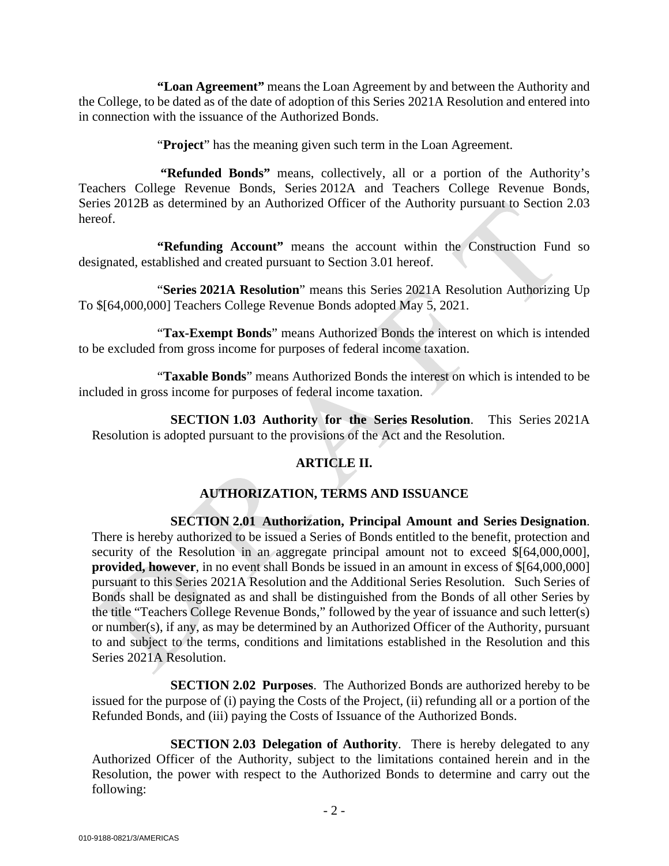**"Loan Agreement"** means the Loan Agreement by and between the Authority and the College, to be dated as of the date of adoption of this Series 2021A Resolution and entered into in connection with the issuance of the Authorized Bonds.

"**Project**" has the meaning given such term in the Loan Agreement.

**"Refunded Bonds"** means, collectively, all or a portion of the Authority's Teachers College Revenue Bonds, Series 2012A and Teachers College Revenue Bonds, Series 2012B as determined by an Authorized Officer of the Authority pursuant to Section 2.03 hereof.

**"Refunding Account"** means the account within the Construction Fund so designated, established and created pursuant to Section 3.01 hereof.

"**Series 2021A Resolution**" means this Series 2021A Resolution Authorizing Up To \$[64,000,000] Teachers College Revenue Bonds adopted May 5, 2021.

"**Tax-Exempt Bonds**" means Authorized Bonds the interest on which is intended to be excluded from gross income for purposes of federal income taxation.

"**Taxable Bonds**" means Authorized Bonds the interest on which is intended to be included in gross income for purposes of federal income taxation.

**SECTION 1.03 Authority for the Series Resolution**. This Series 2021A Resolution is adopted pursuant to the provisions of the Act and the Resolution.

# **ARTICLE II.**

# **AUTHORIZATION, TERMS AND ISSUANCE**

**SECTION 2.01 Authorization, Principal Amount and Series Designation**. There is hereby authorized to be issued a Series of Bonds entitled to the benefit, protection and security of the Resolution in an aggregate principal amount not to exceed  $\{(64,000,000)\}$ , **provided, however**, in no event shall Bonds be issued in an amount in excess of \$[64,000,000] pursuant to this Series 2021A Resolution and the Additional Series Resolution. Such Series of Bonds shall be designated as and shall be distinguished from the Bonds of all other Series by the title "Teachers College Revenue Bonds," followed by the year of issuance and such letter(s) or number(s), if any, as may be determined by an Authorized Officer of the Authority, pursuant to and subject to the terms, conditions and limitations established in the Resolution and this Series 2021A Resolution.

**SECTION 2.02 Purposes**. The Authorized Bonds are authorized hereby to be issued for the purpose of (i) paying the Costs of the Project, (ii) refunding all or a portion of the Refunded Bonds, and (iii) paying the Costs of Issuance of the Authorized Bonds.

**SECTION 2.03 Delegation of Authority.** There is hereby delegated to any Authorized Officer of the Authority, subject to the limitations contained herein and in the Resolution, the power with respect to the Authorized Bonds to determine and carry out the following: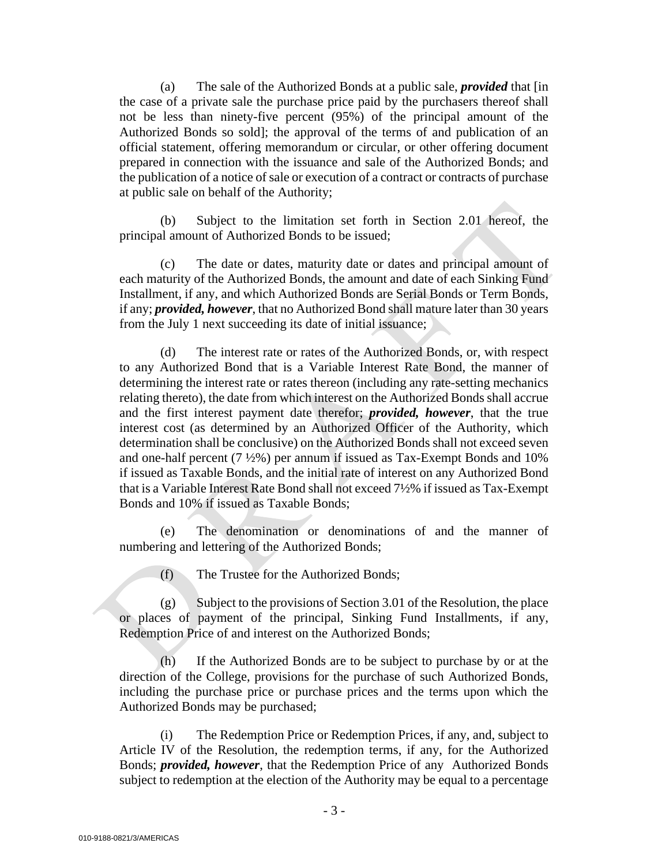(a) The sale of the Authorized Bonds at a public sale, *provided* that [in the case of a private sale the purchase price paid by the purchasers thereof shall not be less than ninety-five percent (95%) of the principal amount of the Authorized Bonds so sold]; the approval of the terms of and publication of an official statement, offering memorandum or circular, or other offering document prepared in connection with the issuance and sale of the Authorized Bonds; and the publication of a notice of sale or execution of a contract or contracts of purchase at public sale on behalf of the Authority;

(b) Subject to the limitation set forth in Section 2.01 hereof, the principal amount of Authorized Bonds to be issued;

(c) The date or dates, maturity date or dates and principal amount of each maturity of the Authorized Bonds, the amount and date of each Sinking Fund Installment, if any, and which Authorized Bonds are Serial Bonds or Term Bonds, if any; *provided, however*, that no Authorized Bond shall mature later than 30 years from the July 1 next succeeding its date of initial issuance;

(d) The interest rate or rates of the Authorized Bonds, or, with respect to any Authorized Bond that is a Variable Interest Rate Bond, the manner of determining the interest rate or rates thereon (including any rate-setting mechanics relating thereto), the date from which interest on the Authorized Bonds shall accrue and the first interest payment date therefor; *provided, however*, that the true interest cost (as determined by an Authorized Officer of the Authority, which determination shall be conclusive) on the Authorized Bonds shall not exceed seven and one-half percent (7 ½%) per annum if issued as Tax-Exempt Bonds and 10% if issued as Taxable Bonds, and the initial rate of interest on any Authorized Bond that is a Variable Interest Rate Bond shall not exceed 7½% if issued as Tax-Exempt Bonds and 10% if issued as Taxable Bonds;

(e) The denomination or denominations of and the manner of numbering and lettering of the Authorized Bonds;

(f) The Trustee for the Authorized Bonds;

 $(g)$  Subject to the provisions of Section 3.01 of the Resolution, the place or places of payment of the principal, Sinking Fund Installments, if any, Redemption Price of and interest on the Authorized Bonds;

(h) If the Authorized Bonds are to be subject to purchase by or at the direction of the College, provisions for the purchase of such Authorized Bonds, including the purchase price or purchase prices and the terms upon which the Authorized Bonds may be purchased;

(i) The Redemption Price or Redemption Prices, if any, and, subject to Article IV of the Resolution, the redemption terms, if any, for the Authorized Bonds; *provided, however*, that the Redemption Price of any Authorized Bonds subject to redemption at the election of the Authority may be equal to a percentage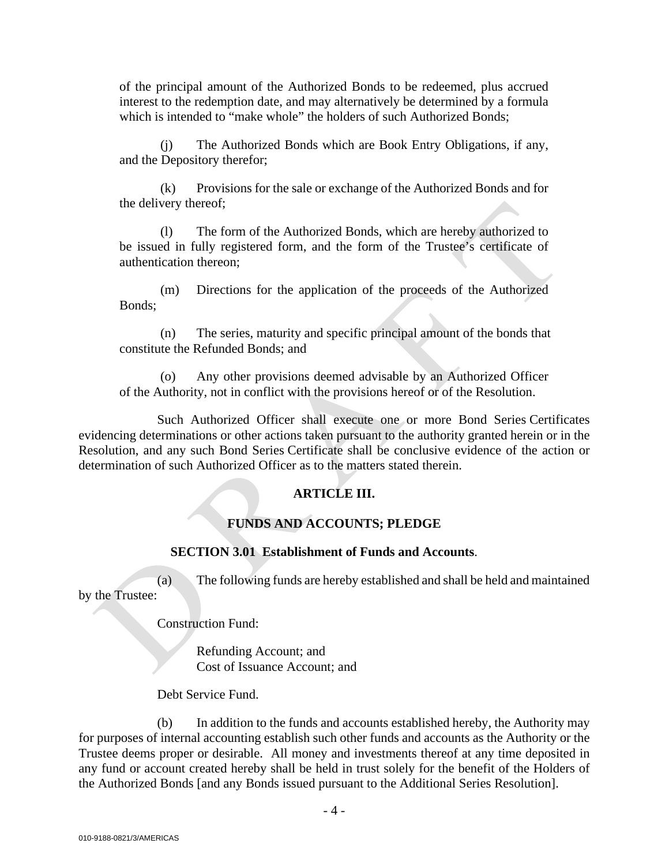of the principal amount of the Authorized Bonds to be redeemed, plus accrued interest to the redemption date, and may alternatively be determined by a formula which is intended to "make whole" the holders of such Authorized Bonds:

(j) The Authorized Bonds which are Book Entry Obligations, if any, and the Depository therefor;

(k) Provisions for the sale or exchange of the Authorized Bonds and for the delivery thereof;

(l) The form of the Authorized Bonds, which are hereby authorized to be issued in fully registered form, and the form of the Trustee's certificate of authentication thereon;

(m) Directions for the application of the proceeds of the Authorized Bonds;

(n) The series, maturity and specific principal amount of the bonds that constitute the Refunded Bonds; and

(o) Any other provisions deemed advisable by an Authorized Officer of the Authority, not in conflict with the provisions hereof or of the Resolution.

Such Authorized Officer shall execute one or more Bond Series Certificates evidencing determinations or other actions taken pursuant to the authority granted herein or in the Resolution, and any such Bond Series Certificate shall be conclusive evidence of the action or determination of such Authorized Officer as to the matters stated therein.

# **ARTICLE III.**

# **FUNDS AND ACCOUNTS; PLEDGE**

#### **SECTION 3.01 Establishment of Funds and Accounts**.

(a) The following funds are hereby established and shall be held and maintained by the Trustee:

Construction Fund:

Refunding Account; and Cost of Issuance Account; and

Debt Service Fund.

(b) In addition to the funds and accounts established hereby, the Authority may for purposes of internal accounting establish such other funds and accounts as the Authority or the Trustee deems proper or desirable. All money and investments thereof at any time deposited in any fund or account created hereby shall be held in trust solely for the benefit of the Holders of the Authorized Bonds [and any Bonds issued pursuant to the Additional Series Resolution].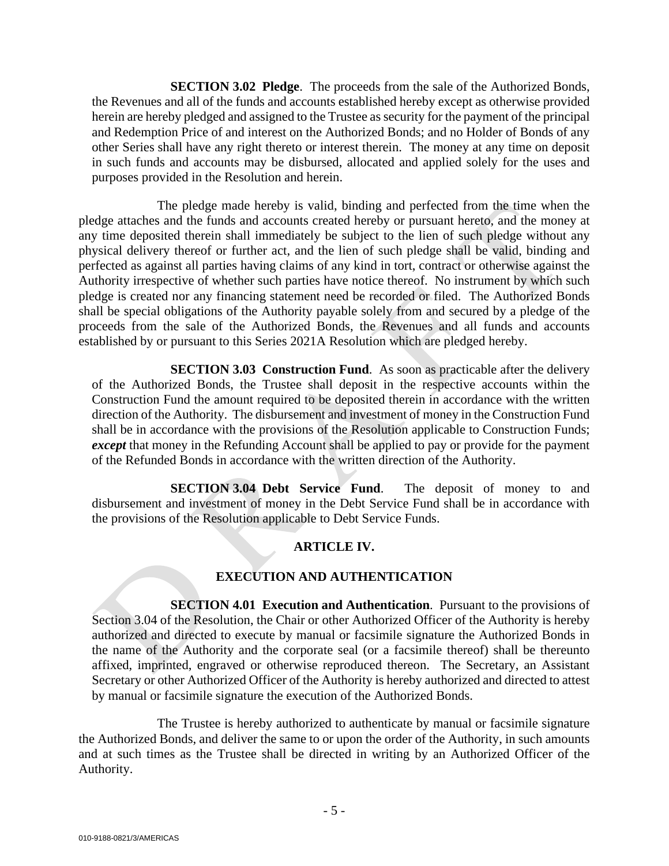**SECTION 3.02 Pledge**. The proceeds from the sale of the Authorized Bonds, the Revenues and all of the funds and accounts established hereby except as otherwise provided herein are hereby pledged and assigned to the Trustee as security for the payment of the principal and Redemption Price of and interest on the Authorized Bonds; and no Holder of Bonds of any other Series shall have any right thereto or interest therein. The money at any time on deposit in such funds and accounts may be disbursed, allocated and applied solely for the uses and purposes provided in the Resolution and herein.

The pledge made hereby is valid, binding and perfected from the time when the pledge attaches and the funds and accounts created hereby or pursuant hereto, and the money at any time deposited therein shall immediately be subject to the lien of such pledge without any physical delivery thereof or further act, and the lien of such pledge shall be valid, binding and perfected as against all parties having claims of any kind in tort, contract or otherwise against the Authority irrespective of whether such parties have notice thereof. No instrument by which such pledge is created nor any financing statement need be recorded or filed. The Authorized Bonds shall be special obligations of the Authority payable solely from and secured by a pledge of the proceeds from the sale of the Authorized Bonds, the Revenues and all funds and accounts established by or pursuant to this Series 2021A Resolution which are pledged hereby.

**SECTION 3.03 Construction Fund.** As soon as practicable after the delivery of the Authorized Bonds, the Trustee shall deposit in the respective accounts within the Construction Fund the amount required to be deposited therein in accordance with the written direction of the Authority. The disbursement and investment of money in the Construction Fund shall be in accordance with the provisions of the Resolution applicable to Construction Funds; *except* that money in the Refunding Account shall be applied to pay or provide for the payment of the Refunded Bonds in accordance with the written direction of the Authority.

**SECTION 3.04 Debt Service Fund**. The deposit of money to and disbursement and investment of money in the Debt Service Fund shall be in accordance with the provisions of the Resolution applicable to Debt Service Funds.

## **ARTICLE IV.**

## **EXECUTION AND AUTHENTICATION**

**SECTION 4.01 Execution and Authentication**. Pursuant to the provisions of Section 3.04 of the Resolution, the Chair or other Authorized Officer of the Authority is hereby authorized and directed to execute by manual or facsimile signature the Authorized Bonds in the name of the Authority and the corporate seal (or a facsimile thereof) shall be thereunto affixed, imprinted, engraved or otherwise reproduced thereon. The Secretary, an Assistant Secretary or other Authorized Officer of the Authority is hereby authorized and directed to attest by manual or facsimile signature the execution of the Authorized Bonds.

The Trustee is hereby authorized to authenticate by manual or facsimile signature the Authorized Bonds, and deliver the same to or upon the order of the Authority, in such amounts and at such times as the Trustee shall be directed in writing by an Authorized Officer of the Authority.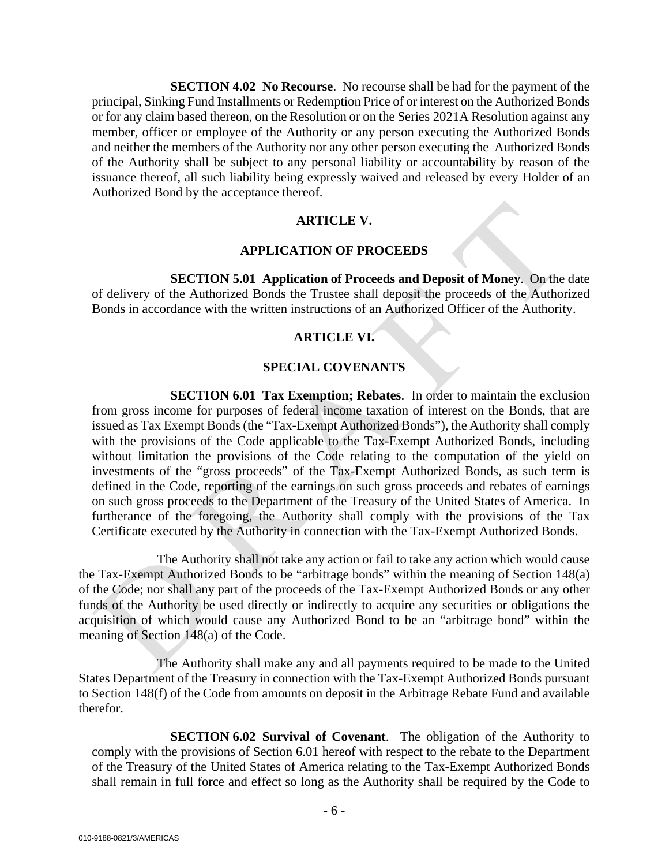**SECTION 4.02 No Recourse**. No recourse shall be had for the payment of the principal, Sinking Fund Installments or Redemption Price of or interest on the Authorized Bonds or for any claim based thereon, on the Resolution or on the Series 2021A Resolution against any member, officer or employee of the Authority or any person executing the Authorized Bonds and neither the members of the Authority nor any other person executing the Authorized Bonds of the Authority shall be subject to any personal liability or accountability by reason of the issuance thereof, all such liability being expressly waived and released by every Holder of an Authorized Bond by the acceptance thereof.

## **ARTICLE V.**

### **APPLICATION OF PROCEEDS**

**SECTION 5.01 Application of Proceeds and Deposit of Money**. On the date of delivery of the Authorized Bonds the Trustee shall deposit the proceeds of the Authorized Bonds in accordance with the written instructions of an Authorized Officer of the Authority.

## **ARTICLE VI.**

## **SPECIAL COVENANTS**

**SECTION 6.01 Tax Exemption; Rebates**. In order to maintain the exclusion from gross income for purposes of federal income taxation of interest on the Bonds, that are issued as Tax Exempt Bonds (the "Tax-Exempt Authorized Bonds"), the Authority shall comply with the provisions of the Code applicable to the Tax-Exempt Authorized Bonds, including without limitation the provisions of the Code relating to the computation of the yield on investments of the "gross proceeds" of the Tax-Exempt Authorized Bonds, as such term is defined in the Code, reporting of the earnings on such gross proceeds and rebates of earnings on such gross proceeds to the Department of the Treasury of the United States of America. In furtherance of the foregoing, the Authority shall comply with the provisions of the Tax Certificate executed by the Authority in connection with the Tax-Exempt Authorized Bonds.

The Authority shall not take any action or fail to take any action which would cause the Tax-Exempt Authorized Bonds to be "arbitrage bonds" within the meaning of Section 148(a) of the Code; nor shall any part of the proceeds of the Tax-Exempt Authorized Bonds or any other funds of the Authority be used directly or indirectly to acquire any securities or obligations the acquisition of which would cause any Authorized Bond to be an "arbitrage bond" within the meaning of Section 148(a) of the Code.

The Authority shall make any and all payments required to be made to the United States Department of the Treasury in connection with the Tax-Exempt Authorized Bonds pursuant to Section 148(f) of the Code from amounts on deposit in the Arbitrage Rebate Fund and available therefor.

**SECTION 6.02 Survival of Covenant**. The obligation of the Authority to comply with the provisions of Section 6.01 hereof with respect to the rebate to the Department of the Treasury of the United States of America relating to the Tax-Exempt Authorized Bonds shall remain in full force and effect so long as the Authority shall be required by the Code to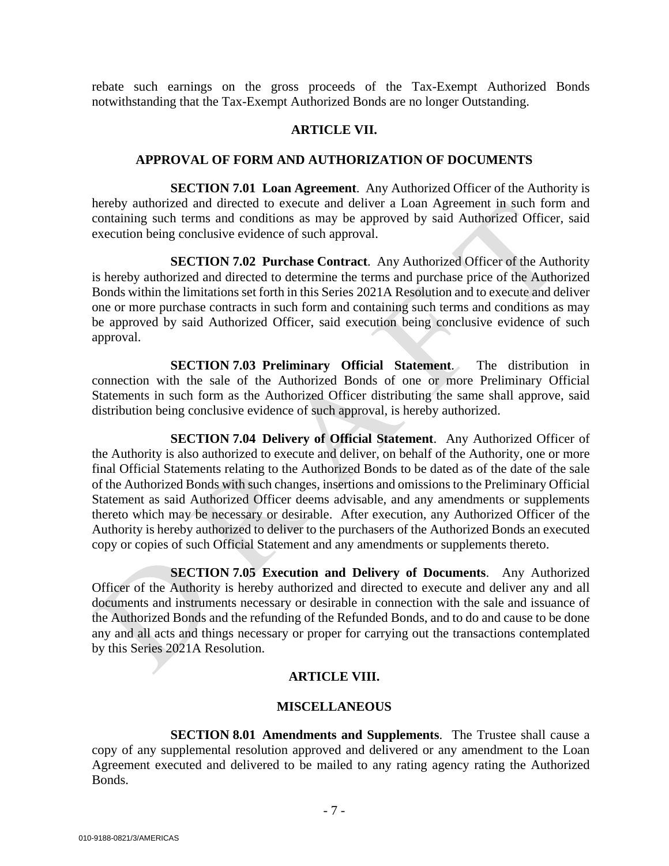rebate such earnings on the gross proceeds of the Tax-Exempt Authorized Bonds notwithstanding that the Tax-Exempt Authorized Bonds are no longer Outstanding.

#### **ARTICLE VII.**

#### **APPROVAL OF FORM AND AUTHORIZATION OF DOCUMENTS**

**SECTION 7.01 Loan Agreement.** Any Authorized Officer of the Authority is hereby authorized and directed to execute and deliver a Loan Agreement in such form and containing such terms and conditions as may be approved by said Authorized Officer, said execution being conclusive evidence of such approval.

**SECTION 7.02 Purchase Contract**. Any Authorized Officer of the Authority is hereby authorized and directed to determine the terms and purchase price of the Authorized Bonds within the limitations set forth in this Series 2021A Resolution and to execute and deliver one or more purchase contracts in such form and containing such terms and conditions as may be approved by said Authorized Officer, said execution being conclusive evidence of such approval.

**SECTION 7.03 Preliminary Official Statement**. The distribution in connection with the sale of the Authorized Bonds of one or more Preliminary Official Statements in such form as the Authorized Officer distributing the same shall approve, said distribution being conclusive evidence of such approval, is hereby authorized.

**SECTION 7.04 Delivery of Official Statement**. Any Authorized Officer of the Authority is also authorized to execute and deliver, on behalf of the Authority, one or more final Official Statements relating to the Authorized Bonds to be dated as of the date of the sale of the Authorized Bonds with such changes, insertions and omissions to the Preliminary Official Statement as said Authorized Officer deems advisable, and any amendments or supplements thereto which may be necessary or desirable. After execution, any Authorized Officer of the Authority is hereby authorized to deliver to the purchasers of the Authorized Bonds an executed copy or copies of such Official Statement and any amendments or supplements thereto.

**SECTION 7.05 Execution and Delivery of Documents**. Any Authorized Officer of the Authority is hereby authorized and directed to execute and deliver any and all documents and instruments necessary or desirable in connection with the sale and issuance of the Authorized Bonds and the refunding of the Refunded Bonds, and to do and cause to be done any and all acts and things necessary or proper for carrying out the transactions contemplated by this Series 2021A Resolution.

## **ARTICLE VIII.**

## **MISCELLANEOUS**

**SECTION 8.01 Amendments and Supplements**. The Trustee shall cause a copy of any supplemental resolution approved and delivered or any amendment to the Loan Agreement executed and delivered to be mailed to any rating agency rating the Authorized Bonds.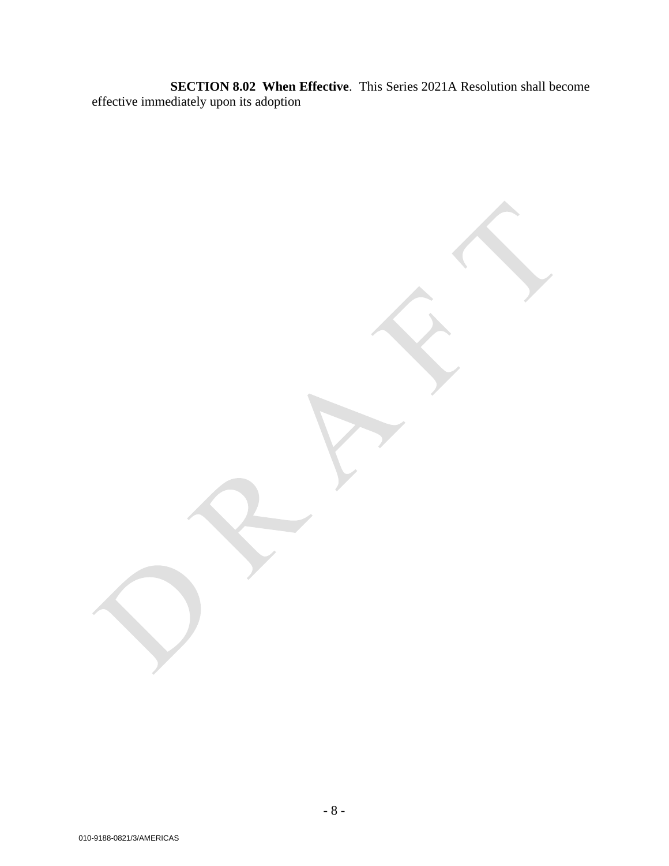**SECTION 8.02 When Effective**. This Series 2021A Resolution shall become effective immediately upon its adoption